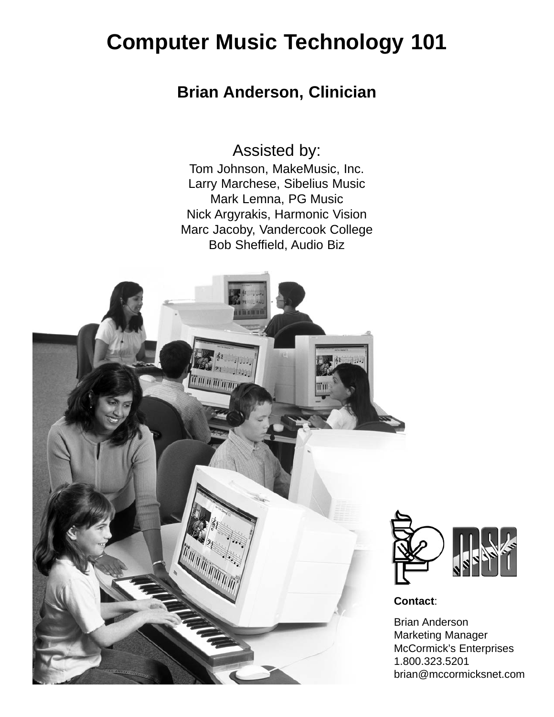# **Computer Music Technology 101**

## **Brian Anderson, Clinician**

Assisted by: Tom Johnson, MakeMusic, Inc. Larry Marchese, Sibelius Music Mark Lemna, PG Music Nick Argyrakis, Harmonic Vision Marc Jacoby, Vandercook College Bob Sheffield, Audio Biz

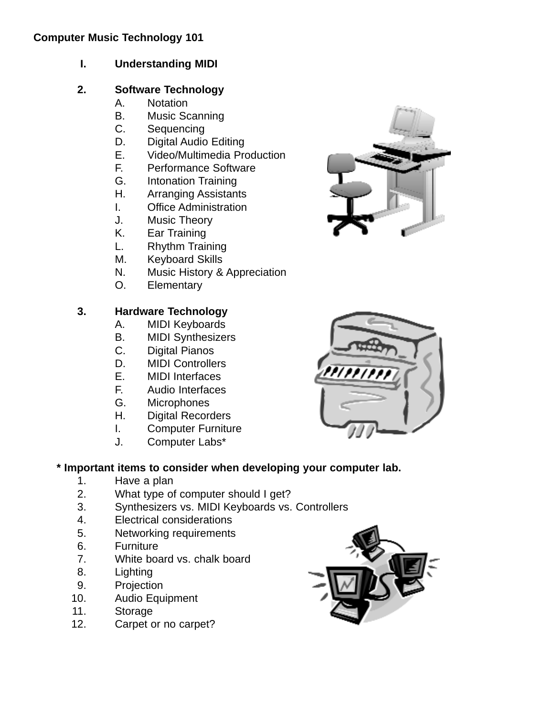#### **Computer Music Technology 101**

#### **I. Understanding MIDI**

#### **2. Software Technology**

- A. Notation
- B. Music Scanning
- C. Sequencing
- D. Digital Audio Editing
- E. Video/Multimedia Production
- F. Performance Software
- G. Intonation Training
- H. Arranging Assistants
- I. Office Administration
- J. Music Theory
- K. Ear Training
- L. Rhythm Training
- M. Keyboard Skills
- N. Music History & Appreciation
- O. Elementary

#### **3. Hardware Technology**

- A. MIDI Keyboards
- B. MIDI Synthesizers
- C. Digital Pianos
- D. MIDI Controllers
- E. MIDI Interfaces
- F. Audio Interfaces
- G. Microphones
- H. Digital Recorders
- I. Computer Furniture
- J. Computer Labs\*

#### **\* Important items to consider when developing your computer lab.**

- 1. Have a plan
- 2. What type of computer should I get?
- 3. Synthesizers vs. MIDI Keyboards vs. Controllers
- 4. Electrical considerations
- 5. Networking requirements
- 6. Furniture
- 7. White board vs. chalk board
- 8. Lighting
- 9. Projection
- 10. Audio Equipment
- 11. Storage
- 12. Carpet or no carpet?





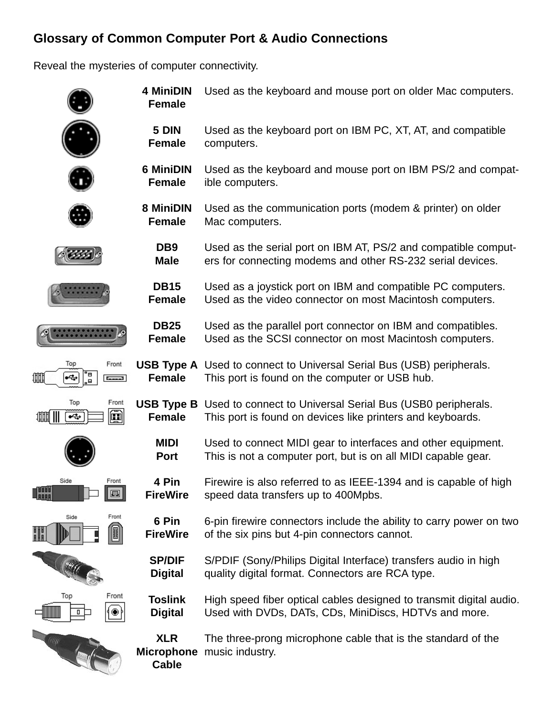## **Glossary of Common Computer Port & Audio Connections**

Reveal the mysteries of computer connectivity.

|                                                            | <b>4 MiniDIN</b><br><b>Female</b>        | Used as the keyboard and mouse port on older Mac computers.                                                                                |
|------------------------------------------------------------|------------------------------------------|--------------------------------------------------------------------------------------------------------------------------------------------|
|                                                            | 5 DIN<br><b>Female</b>                   | Used as the keyboard port on IBM PC, XT, AT, and compatible<br>computers.                                                                  |
|                                                            | <b>6 MiniDIN</b><br><b>Female</b>        | Used as the keyboard and mouse port on IBM PS/2 and compat-<br>ible computers.                                                             |
|                                                            | 8 MiniDIN<br><b>Female</b>               | Used as the communication ports (modem & printer) on older<br>Mac computers.                                                               |
|                                                            | DB <sub>9</sub><br><b>Male</b>           | Used as the serial port on IBM AT, PS/2 and compatible comput-<br>ers for connecting modems and other RS-232 serial devices.               |
|                                                            | <b>DB15</b><br><b>Female</b>             | Used as a joystick port on IBM and compatible PC computers.<br>Used as the video connector on most Macintosh computers.                    |
|                                                            | <b>DB25</b><br><b>Female</b>             | Used as the parallel port connector on IBM and compatibles.<br>Used as the SCSI connector on most Macintosh computers.                     |
| Front<br>lop<br>⊟"<br>∍⊟<br>$\left  \right $<br>蜖<br>تمممت | USB Type A<br><b>Female</b>              | Used to connect to Universal Serial Bus (USB) peripherals.<br>This port is found on the computer or USB hub.                               |
| Top<br>Front<br>圃<br>ŒŒ<br>⊷                               | <b>Female</b>                            | <b>USB Type B</b> Used to connect to Universal Serial Bus (USB0 peripherals.<br>This port is found on devices like printers and keyboards. |
|                                                            | <b>MIDI</b><br><b>Port</b>               | Used to connect MIDI gear to interfaces and other equipment.<br>This is not a computer port, but is on all MIDI capable gear.              |
| Side<br>Front<br><b>THE R</b><br>$\blacksquare$            | 4 Pin<br><b>FireWire</b>                 | Firewire is also referred to as IEEE-1394 and is capable of high<br>speed data transfers up to 400Mpbs.                                    |
| Front<br>Side<br>E                                         | 6 Pin<br><b>FireWire</b>                 | 6-pin firewire connectors include the ability to carry power on two<br>of the six pins but 4-pin connectors cannot.                        |
| <b>MAG</b>                                                 | <b>SP/DIF</b><br><b>Digital</b>          | S/PDIF (Sony/Philips Digital Interface) transfers audio in high<br>quality digital format. Connectors are RCA type.                        |
| Top<br>Front<br>۰<br>0                                     | <b>Toslink</b><br><b>Digital</b>         | High speed fiber optical cables designed to transmit digital audio.<br>Used with DVDs, DATs, CDs, MiniDiscs, HDTVs and more.               |
| WWW                                                        | <b>XLR</b><br><b>Microphone</b><br>Cable | The three-prong microphone cable that is the standard of the<br>music industry.                                                            |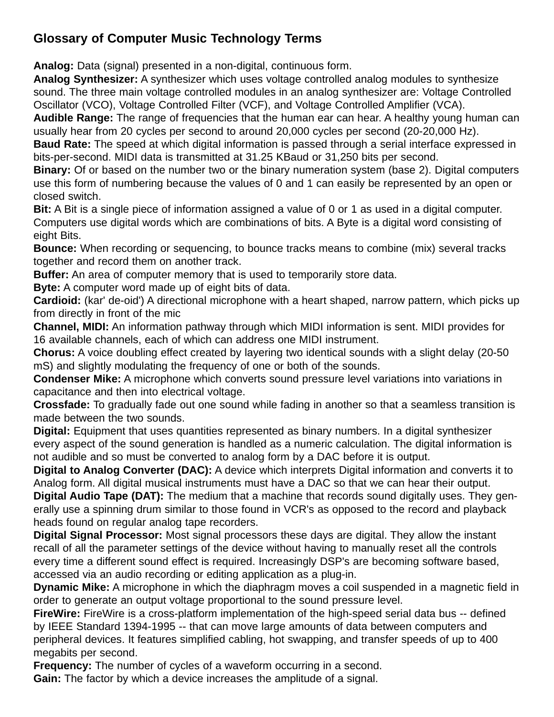### **Glossary of Computer Music Technology Terms**

**Analog:** Data (signal) presented in a non-digital, continuous form.

**Analog Synthesizer:** A synthesizer which uses voltage controlled analog modules to synthesize sound. The three main voltage controlled modules in an analog synthesizer are: Voltage Controlled Oscillator (VCO), Voltage Controlled Filter (VCF), and Voltage Controlled Amplifier (VCA).

**Audible Range:** The range of frequencies that the human ear can hear. A healthy young human can usually hear from 20 cycles per second to around 20,000 cycles per second (20-20,000 Hz).

**Baud Rate:** The speed at which digital information is passed through a serial interface expressed in bits-per-second. MIDI data is transmitted at 31.25 KBaud or 31,250 bits per second.

**Binary:** Of or based on the number two or the binary numeration system (base 2). Digital computers use this form of numbering because the values of 0 and 1 can easily be represented by an open or closed switch.

**Bit:** A Bit is a single piece of information assigned a value of 0 or 1 as used in a digital computer. Computers use digital words which are combinations of bits. A Byte is a digital word consisting of eight Bits.

**Bounce:** When recording or sequencing, to bounce tracks means to combine (mix) several tracks together and record them on another track.

**Buffer:** An area of computer memory that is used to temporarily store data.

**Byte:** A computer word made up of eight bits of data.

**Cardioid:** (kar' de-oid') A directional microphone with a heart shaped, narrow pattern, which picks up from directly in front of the mic

**Channel, MIDI:** An information pathway through which MIDI information is sent. MIDI provides for 16 available channels, each of which can address one MIDI instrument.

**Chorus:** A voice doubling effect created by layering two identical sounds with a slight delay (20-50 mS) and slightly modulating the frequency of one or both of the sounds.

**Condenser Mike:** A microphone which converts sound pressure level variations into variations in capacitance and then into electrical voltage.

**Crossfade:** To gradually fade out one sound while fading in another so that a seamless transition is made between the two sounds.

**Digital:** Equipment that uses quantities represented as binary numbers. In a digital synthesizer every aspect of the sound generation is handled as a numeric calculation. The digital information is not audible and so must be converted to analog form by a DAC before it is output.

**Digital to Analog Converter (DAC):** A device which interprets Digital information and converts it to Analog form. All digital musical instruments must have a DAC so that we can hear their output. **Digital Audio Tape (DAT):** The medium that a machine that records sound digitally uses. They generally use a spinning drum similar to those found in VCR's as opposed to the record and playback heads found on regular analog tape recorders.

**Digital Signal Processor:** Most signal processors these days are digital. They allow the instant recall of all the parameter settings of the device without having to manually reset all the controls every time a different sound effect is required. Increasingly DSP's are becoming software based, accessed via an audio recording or editing application as a plug-in.

**Dynamic Mike:** A microphone in which the diaphragm moves a coil suspended in a magnetic field in order to generate an output voltage proportional to the sound pressure level.

**FireWire:** FireWire is a cross-platform implementation of the high-speed serial data bus -- defined by IEEE Standard 1394-1995 -- that can move large amounts of data between computers and peripheral devices. It features simplified cabling, hot swapping, and transfer speeds of up to 400 megabits per second.

**Frequency:** The number of cycles of a waveform occurring in a second.

**Gain:** The factor by which a device increases the amplitude of a signal.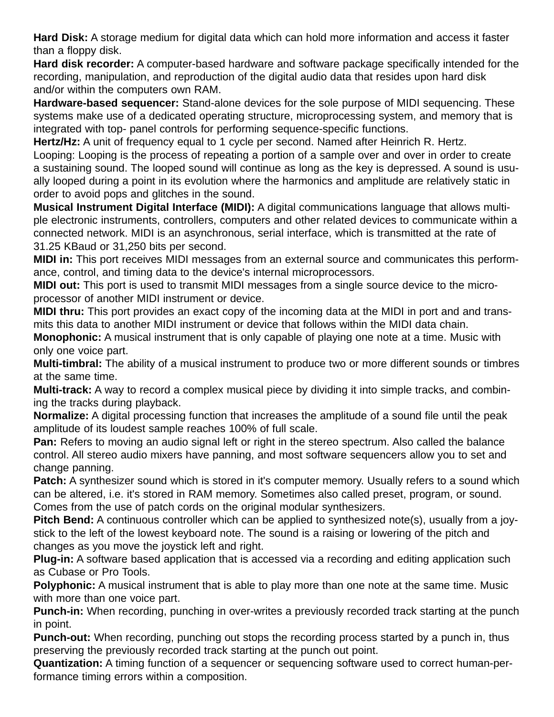**Hard Disk:** A storage medium for digital data which can hold more information and access it faster than a floppy disk.

**Hard disk recorder:** A computer-based hardware and software package specifically intended for the recording, manipulation, and reproduction of the digital audio data that resides upon hard disk and/or within the computers own RAM.

**Hardware-based sequencer:** Stand-alone devices for the sole purpose of MIDI sequencing. These systems make use of a dedicated operating structure, microprocessing system, and memory that is integrated with top- panel controls for performing sequence-specific functions.

**Hertz/Hz:** A unit of frequency equal to 1 cycle per second. Named after Heinrich R. Hertz.

Looping: Looping is the process of repeating a portion of a sample over and over in order to create a sustaining sound. The looped sound will continue as long as the key is depressed. A sound is usually looped during a point in its evolution where the harmonics and amplitude are relatively static in order to avoid pops and glitches in the sound.

**Musical Instrument Digital Interface (MIDI):** A digital communications language that allows multiple electronic instruments, controllers, computers and other related devices to communicate within a connected network. MIDI is an asynchronous, serial interface, which is transmitted at the rate of 31.25 KBaud or 31,250 bits per second.

**MIDI in:** This port receives MIDI messages from an external source and communicates this performance, control, and timing data to the device's internal microprocessors.

**MIDI out:** This port is used to transmit MIDI messages from a single source device to the microprocessor of another MIDI instrument or device.

**MIDI thru:** This port provides an exact copy of the incoming data at the MIDI in port and and transmits this data to another MIDI instrument or device that follows within the MIDI data chain.

**Monophonic:** A musical instrument that is only capable of playing one note at a time. Music with only one voice part.

**Multi-timbral:** The ability of a musical instrument to produce two or more different sounds or timbres at the same time.

**Multi-track:** A way to record a complex musical piece by dividing it into simple tracks, and combining the tracks during playback.

**Normalize:** A digital processing function that increases the amplitude of a sound file until the peak amplitude of its loudest sample reaches 100% of full scale.

Pan: Refers to moving an audio signal left or right in the stereo spectrum. Also called the balance control. All stereo audio mixers have panning, and most software sequencers allow you to set and change panning.

**Patch:** A synthesizer sound which is stored in it's computer memory. Usually refers to a sound which can be altered, i.e. it's stored in RAM memory. Sometimes also called preset, program, or sound. Comes from the use of patch cords on the original modular synthesizers.

**Pitch Bend:** A continuous controller which can be applied to synthesized note(s), usually from a joystick to the left of the lowest keyboard note. The sound is a raising or lowering of the pitch and changes as you move the joystick left and right.

**Plug-in:** A software based application that is accessed via a recording and editing application such as Cubase or Pro Tools.

**Polyphonic:** A musical instrument that is able to play more than one note at the same time. Music with more than one voice part.

**Punch-in:** When recording, punching in over-writes a previously recorded track starting at the punch in point.

**Punch-out:** When recording, punching out stops the recording process started by a punch in, thus preserving the previously recorded track starting at the punch out point.

**Quantization:** A timing function of a sequencer or sequencing software used to correct human-performance timing errors within a composition.